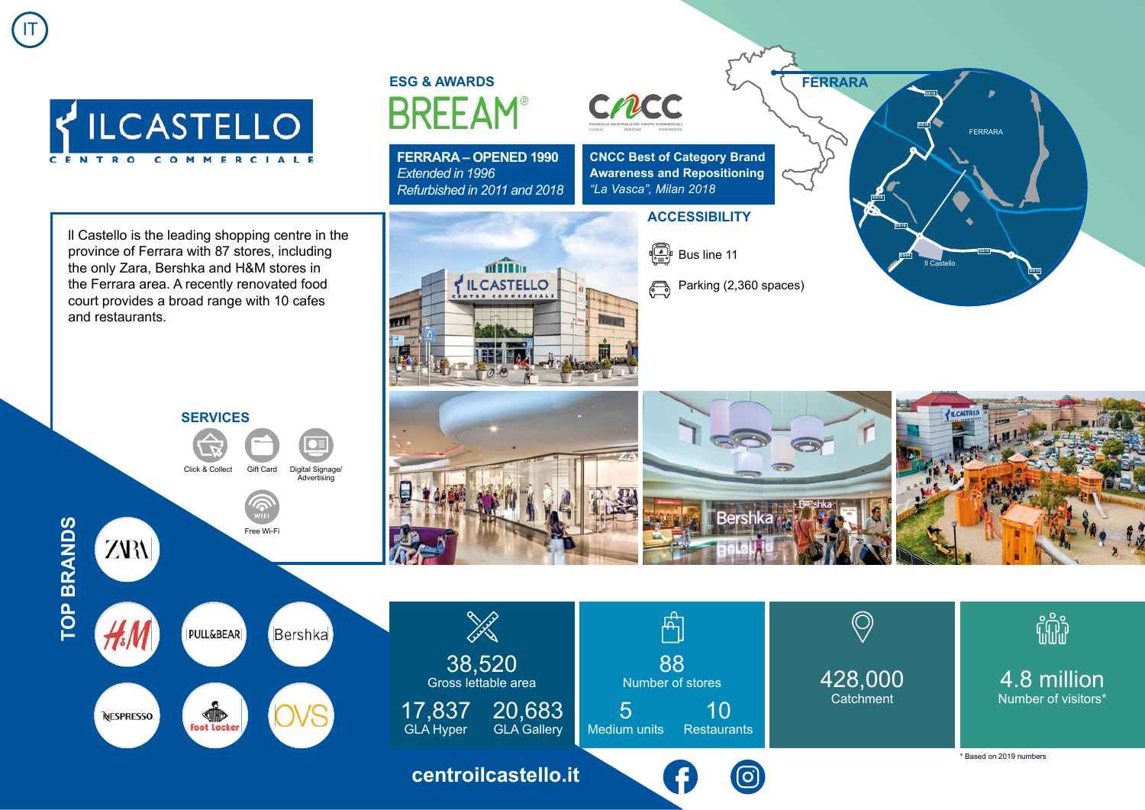IT



**FERRARA – OPENED 1990** *Extended in 1996 Refurbished in 2011 and 2018*

> **of Till by ILCASTELLO**



**CNCC Best of Category Brand Awareness and Repositioning** *"La Vasca", Milan 2018*

## **ACCESSIBILITY**



Parking (2,360 spaces)  $\bigoplus$ 



ll Castello is the leading shopping centre in the province of Ferrara with 87 stores, including the only Zara, Bershka and H&M stores in the Ferrara area. A recently renovated food court provides a broad range with 10 cafes and restaurants.



**NESPRESSO**